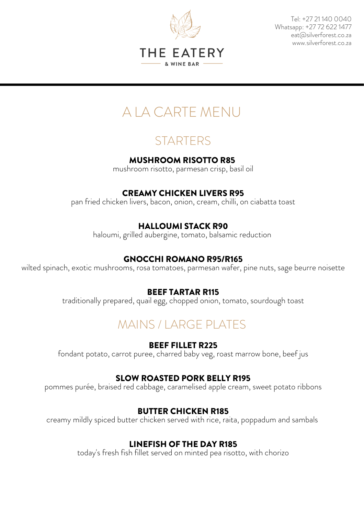

Tel: +27 21 140 0040 Whatsapp: +27 72 622 1477 eat@silverforest.co.za [www.silverforest.co.za](mailto:members@silverforest.co.za)

# A LA CARTE MENU

# **STARTERS**

## MUSHROOM RISOTTO R85

mushroom risotto, parmesan crisp, basil oil

## CREAMY CHICKEN LIVERS R95

pan fried chicken livers, bacon, onion, cream, chilli, on ciabatta toast

## HALLOUMI STACK R90

haloumi, grilled aubergine, tomato, balsamic reduction

## GNOCCHI ROMANO R95/R165

wilted spinach, exotic mushrooms, rosa tomatoes, parmesan wafer, pine nuts, sage beurre noisette

## BEEF TARTAR R115

traditionally prepared, quail egg, chopped onion, tomato, sourdough toast

## MAINS / LARGE PLATES

## BEEF FILLET R225

fondant potato, carrot puree, charred baby veg, roast marrow bone, beef jus

## SLOW ROASTED PORK BELLY R195

pommes purée, braised red cabbage, caramelised apple cream, sweet potato ribbons

## BUTTER CHICKEN R185

creamy mildly spiced butter chicken served with rice, raita, poppadum and sambals

## LINEFISH OF THE DAY R185

today's fresh fish fillet served on minted pea risotto, with chorizo